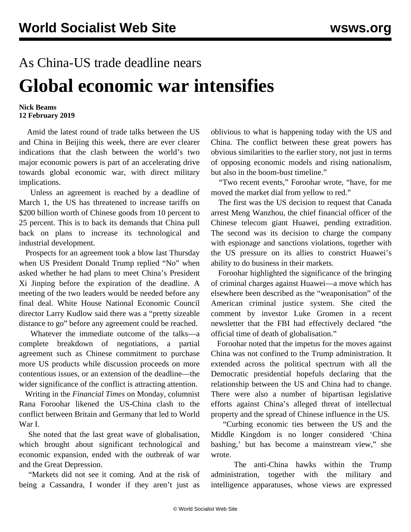## As China-US trade deadline nears **Global economic war intensifies**

## **Nick Beams 12 February 2019**

 Amid the latest round of trade talks between the US and China in Beijing this week, there are ever clearer indications that the clash between the world's two major economic powers is part of an accelerating drive towards global economic war, with direct military implications.

 Unless an agreement is reached by a deadline of March 1, the US has threatened to increase tariffs on \$200 billion worth of Chinese goods from 10 percent to 25 percent. This is to back its demands that China pull back on plans to increase its technological and industrial development.

 Prospects for an agreement took a blow last Thursday when US President Donald Trump replied "No" when asked whether he had plans to meet China's President Xi Jinping before the expiration of the deadline. A meeting of the two leaders would be needed before any final deal. White House National Economic Council director Larry Kudlow said there was a "pretty sizeable distance to go" before any agreement could be reached.

 Whatever the immediate outcome of the talks—a complete breakdown of negotiations, a partial agreement such as Chinese commitment to purchase more US products while discussion proceeds on more contentious issues, or an extension of the deadline—the wider significance of the conflict is attracting attention.

 Writing in the *Financial Times* on Monday, columnist Rana Foroohar likened the US-China clash to the conflict between Britain and Germany that led to World War I.

 She noted that the last great wave of globalisation, which brought about significant technological and economic expansion, ended with the outbreak of war and the Great Depression.

 "Markets did not see it coming. And at the risk of being a Cassandra, I wonder if they aren't just as

oblivious to what is happening today with the US and China. The conflict between these great powers has obvious similarities to the earlier story, not just in terms of opposing economic models and rising nationalism, but also in the boom-bust timeline."

 "Two recent events," Foroohar wrote, "have, for me moved the market dial from yellow to red."

 The first was the US decision to request that Canada arrest Meng Wanzhou, the chief financial officer of the Chinese telecom giant Huawei, pending extradition. The second was its decision to charge the company with espionage and sanctions violations, together with the US pressure on its allies to constrict Huawei's ability to do business in their markets.

 Foroohar highlighted the significance of the bringing of criminal charges against Huawei—a move which has elsewhere been described as the "weaponisation" of the American criminal justice system. She cited the comment by investor Luke Gromen in a recent newsletter that the FBI had effectively declared "the official time of death of globalisation."

 Foroohar noted that the impetus for the moves against China was not confined to the Trump administration. It extended across the political spectrum with all the Democratic presidential hopefuls declaring that the relationship between the US and China had to change. There were also a number of bipartisan legislative efforts against China's alleged threat of intellectual property and the spread of Chinese influence in the US.

 "Curbing economic ties between the US and the Middle Kingdom is no longer considered 'China bashing,' but has become a mainstream view," she wrote.

 The anti-China hawks within the Trump administration, together with the military and intelligence apparatuses, whose views are expressed